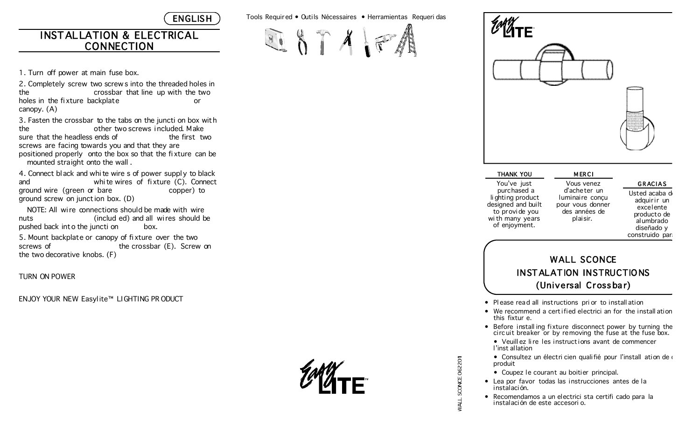**ENGLISH** 

### INSTALLATION & ELECTRICAL CONNECTION

1. Turn off power at main fuse box.

2. Completely screw two screw s into the threaded holes in the crossbar that line up with the two holes in the fixture backplate or canopy. (A)

3. Fasten the crossbar to the tabs on the juncti on box with the other two screws i ncluded. Make sure that the headless ends of the first two screws are facing towards you and that they are positioned properly onto the box so that the fi xture can be mounted straight onto the wall .

4. Connect bl ack and whi te wire s of power suppl y to black and whi te wires of fi xture (C). Connect ground wire (green or bare example copper) to ground screw on junct ion box. (D)

NOTE: All wire connections should be made with wire nuts (includ ed) and all wires should be pushed back into the juncti on box. 5. Mount backplate or canopy of fi xture over the two

screws of the crossbar (E). Screw on the two decorative knobs. (F)

TURN ON POWER

ENJOY YOUR NEW Easyl ite™ LIGHTING PR ODUCT

Tools Requir ed • Outils Nécessaires • Herramientas Requeri das



| THANK YOU                                                                                                                    |                |
|------------------------------------------------------------------------------------------------------------------------------|----------------|
| You've just<br>purchased a<br>li ghting product<br>designed and built<br>to provide you<br>wi th many years<br>of enjoyment. | ٢<br>lu<br>pοι |
|                                                                                                                              |                |

**GRACIAS** 

Vous venez d'acheter un minaire concu ur vous donner des années de plaisir.

**MERCI** 

Usted acaba d adquirir un excelente producto de alumbrado diseñado y

construido para

## WALL SCONCE INST ALAT ION INSTRUCTIO NS (Universal Cross ba r)

- Pl ease read all instructions pri or to install ation
- $\bullet$  We recommend a certified electrici an for the install ation this fixtur e.
- Before install ing fixture disconnect power by turning the circ uit breaker or by removing the fuse at the fuse box.
	- Veuill ez li re les instruct ions avant de commencer l'inst al lation
	- Consultez un électri cien qualifié pour l'install ation de d produit
	- Coupez le courant au boitier principal.

SCONCE 062201

WALL S

- Lea por favor todas las instrucciones antes de la instalación.
- Recomendamos a un electrici sta certifi cado para la instalación de este accesori o.